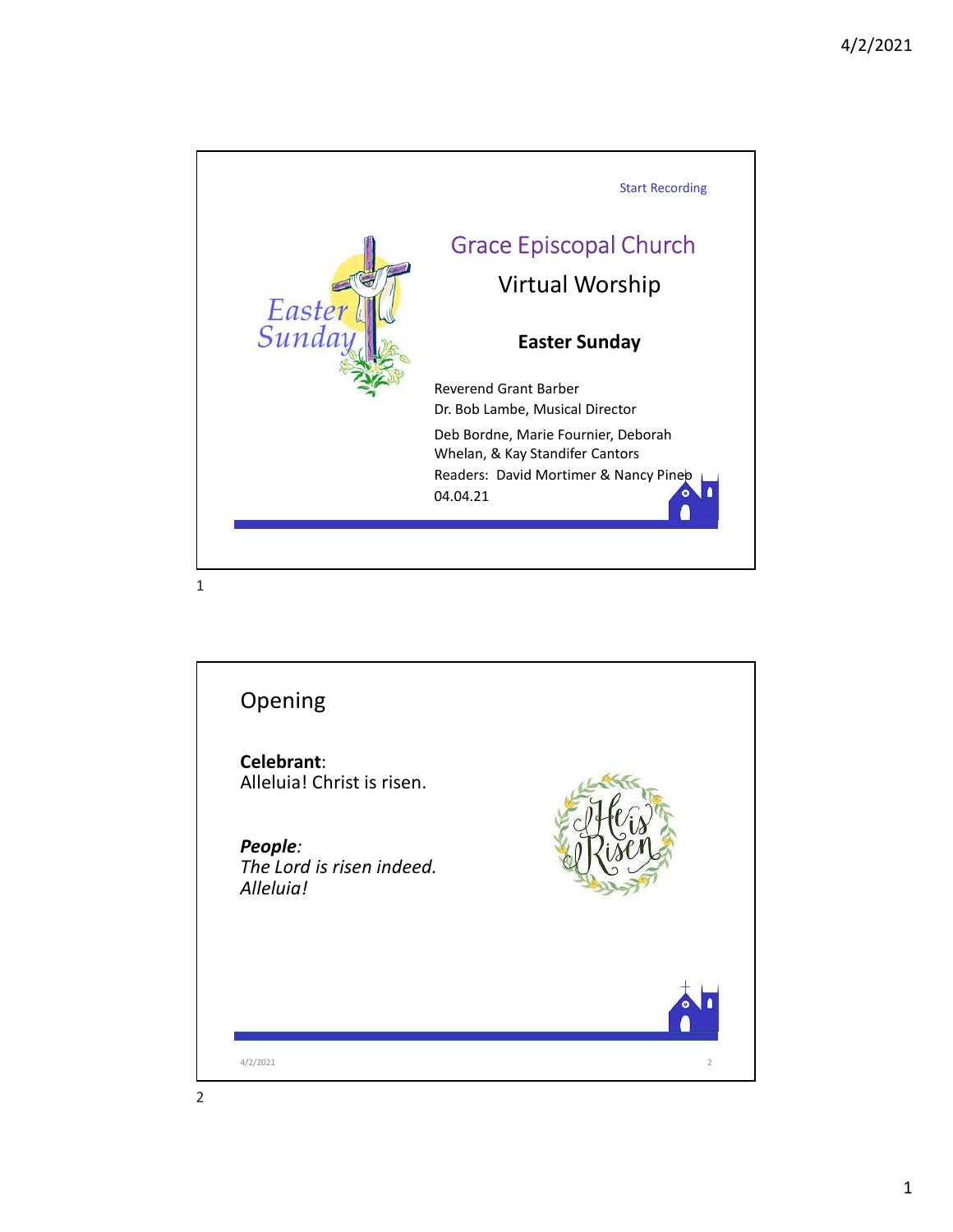

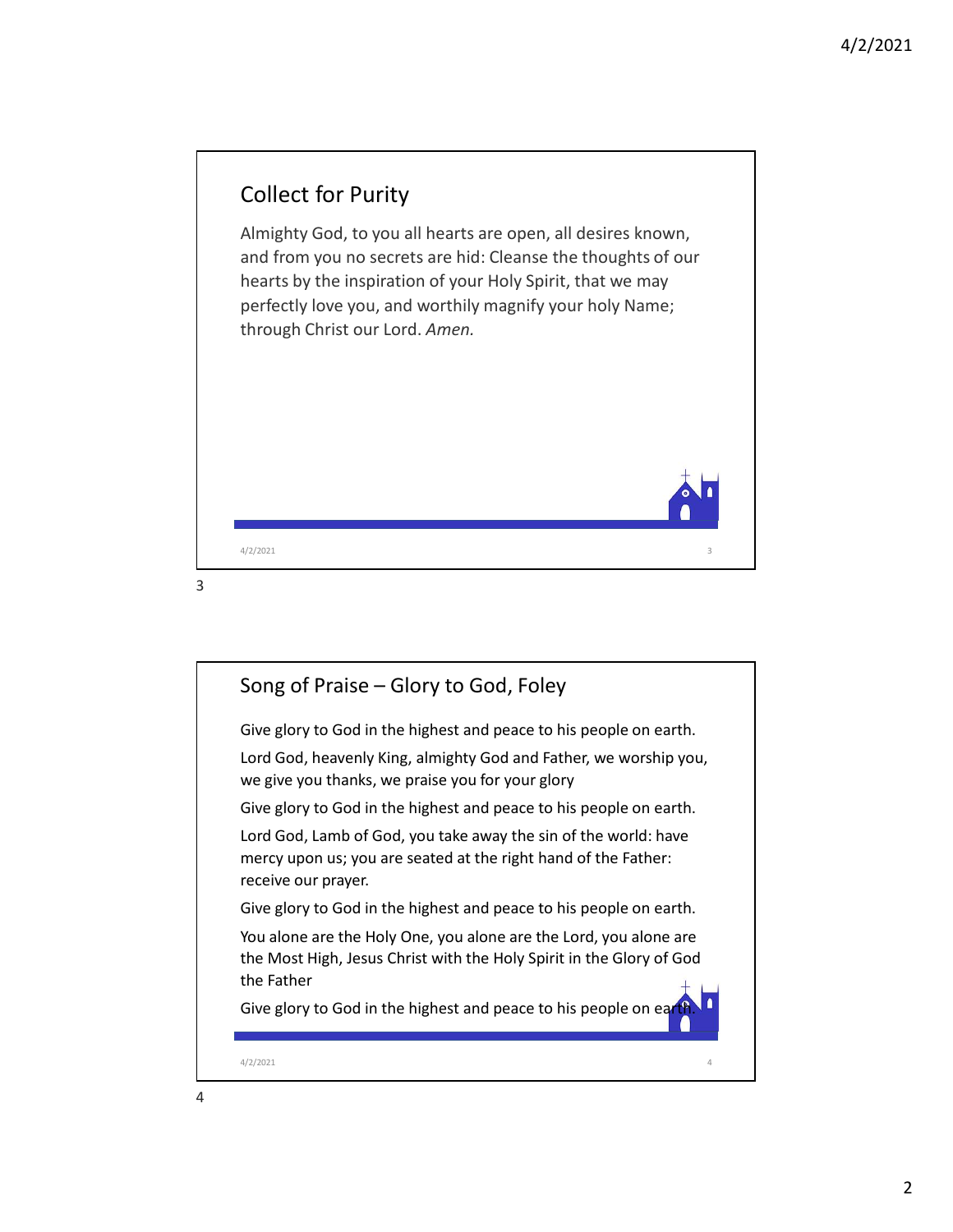



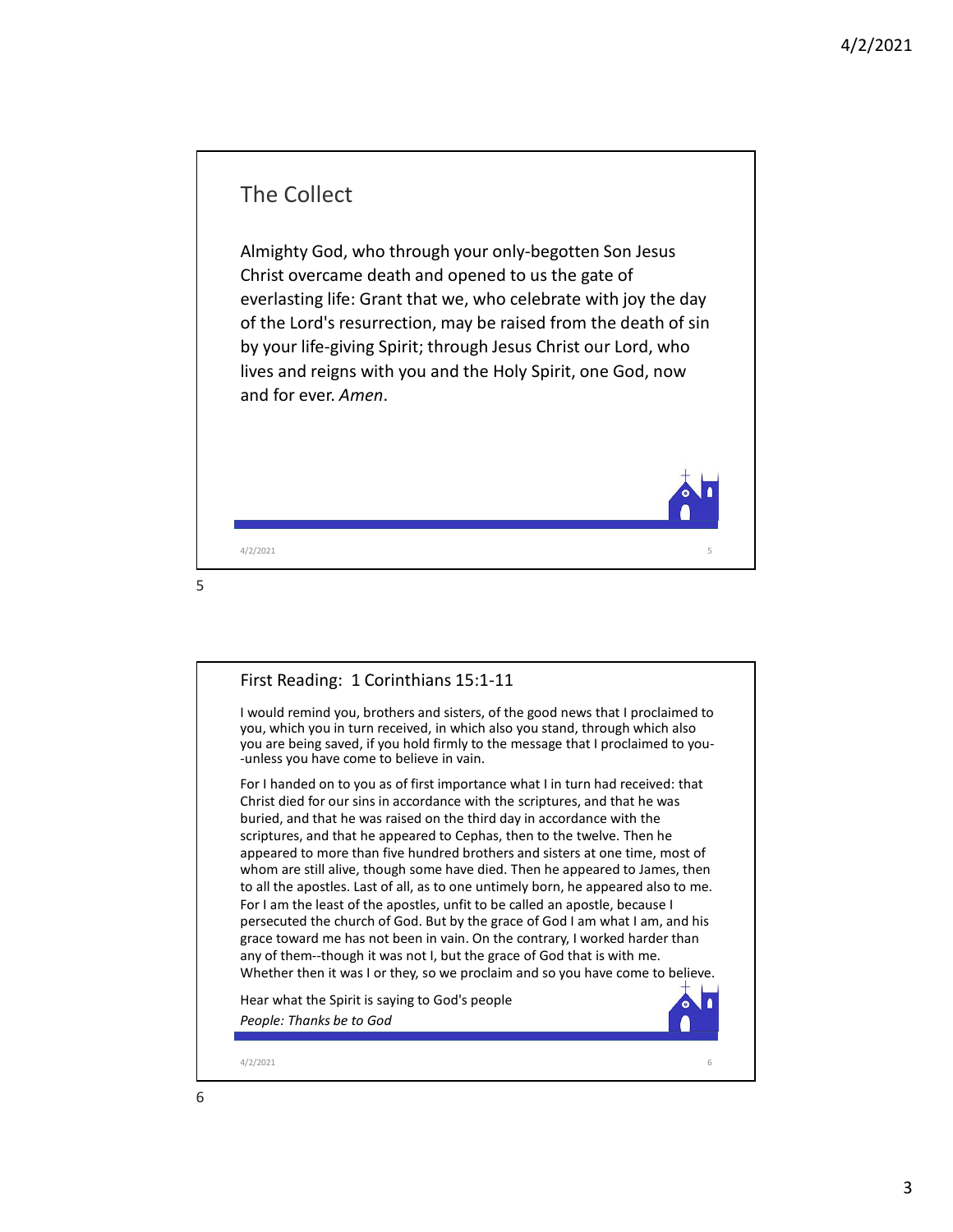## The Collect

Almighty God, who through your only-begotten Son Jesus Christ overcame death and opened to us the gate of everlasting life: Grant that we, who celebrate with joy the day of the Lord's resurrection, may be raised from the death of sin by your life-giving Spirit; through Jesus Christ our Lord, who lives and reigns with you and the Holy Spirit, one God, now The Collect<br>
Almighty God, who through your only-begotten Son Jesus<br>
Christ overcame death and opened to us the gate of<br>
everlasting life: Grant that we, who celebrate with joy the day<br>
of the Lord's resurrection, may be r

 $5<sub>5</sub>$ 

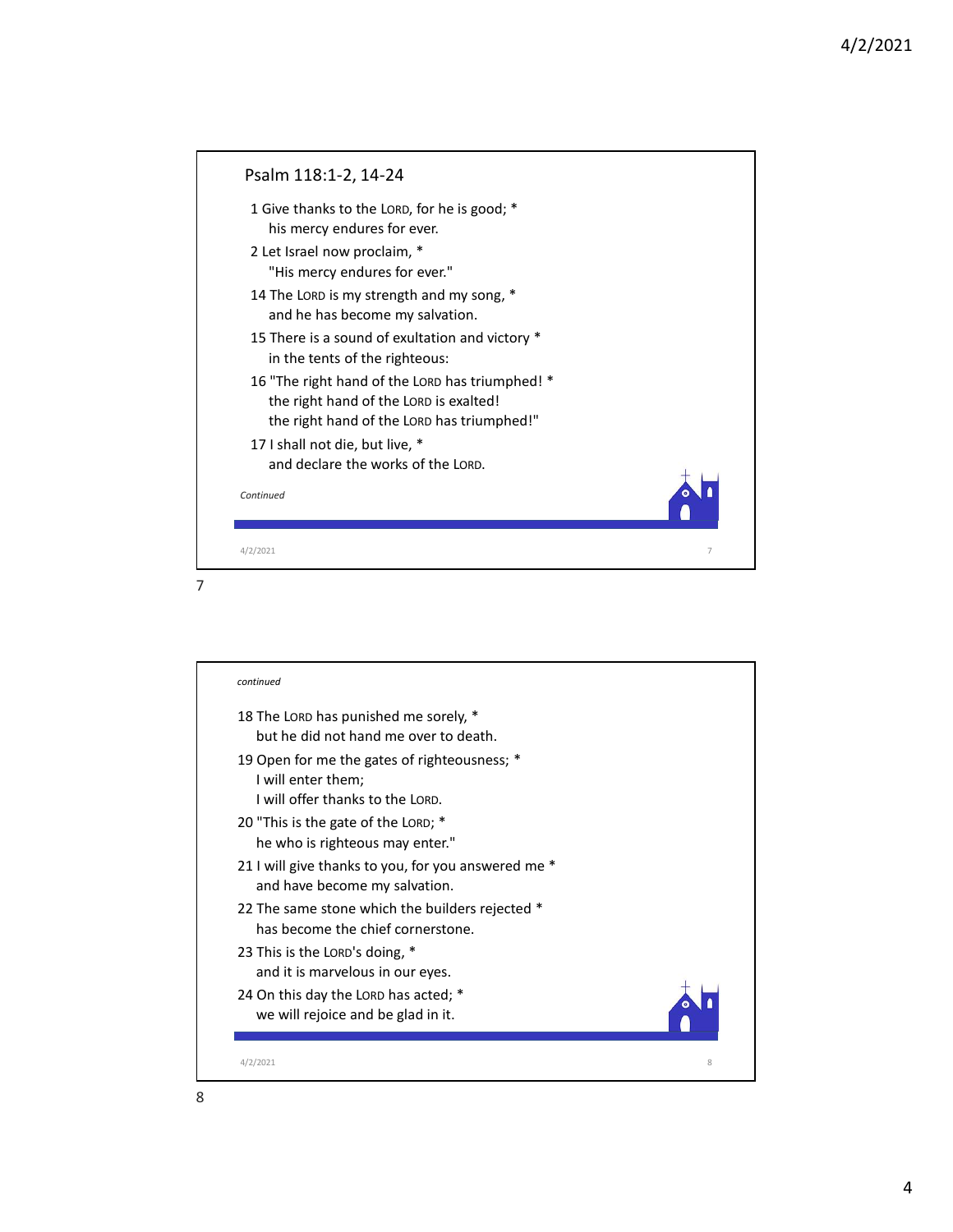

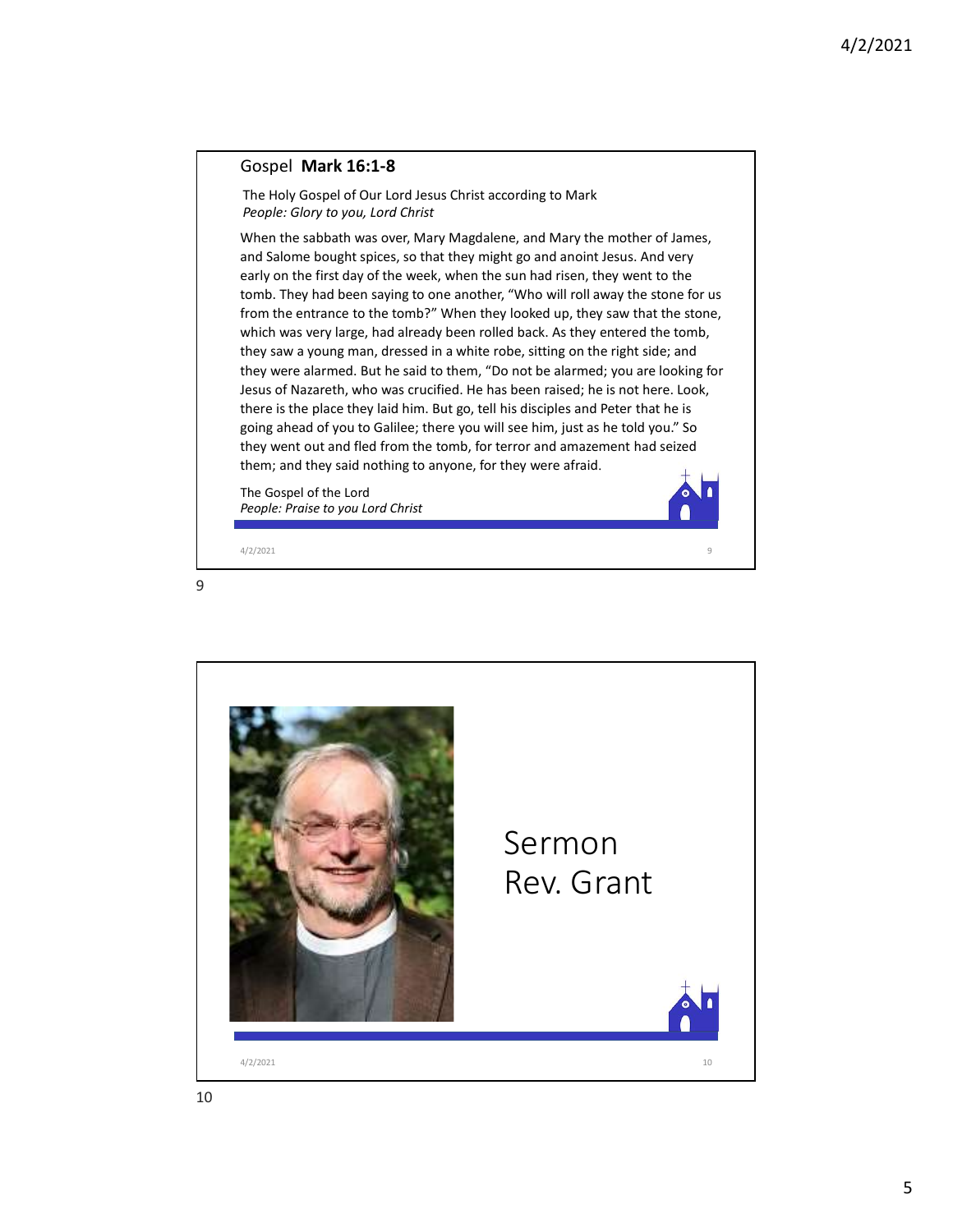## Gospel Mark 16:1-8

The Holy Gospel of Our Lord Jesus Christ according to Mark People: Glory to you, Lord Christ

When the sabbath was over, Mary Magdalene, and Mary the mother of James, and Salome bought spices, so that they might go and anoint Jesus. And very early on the first day of the week, when the sun had risen, they went to the tomb. They had been saying to one another, "Who will roll away the stone for us from the entrance to the tomb?" When they looked up, they saw that the stone, which was very large, had already been rolled back. As they entered the tomb, they saw a young man, dressed in a white robe, sitting on the right side; and they were alarmed. But he said to them, "Do not be alarmed; you are looking for Jesus of Nazareth, who was crucified. He has been raised; he is not here. Look, there is the place they laid him. But go, tell his disciples and Peter that he is going ahead of you to Galilee; there you will see him, just as he told you." So they went out and fled from the tomb, for terror and amazement had seized them; and they said nothing to anyone, for they were afraid. Gospel **Mark 16:1-8**<br>The Holy Gospel of Our Lord Jesus Christ according to Mark<br>People: Glory to you, Lord Christ<br>When the sabbath was over, Mary Magdalene, and Mary the mother of James,<br>When the sabbath was over, Mary Ma

The Gospel of the Lord People: Praise to you Lord Christ

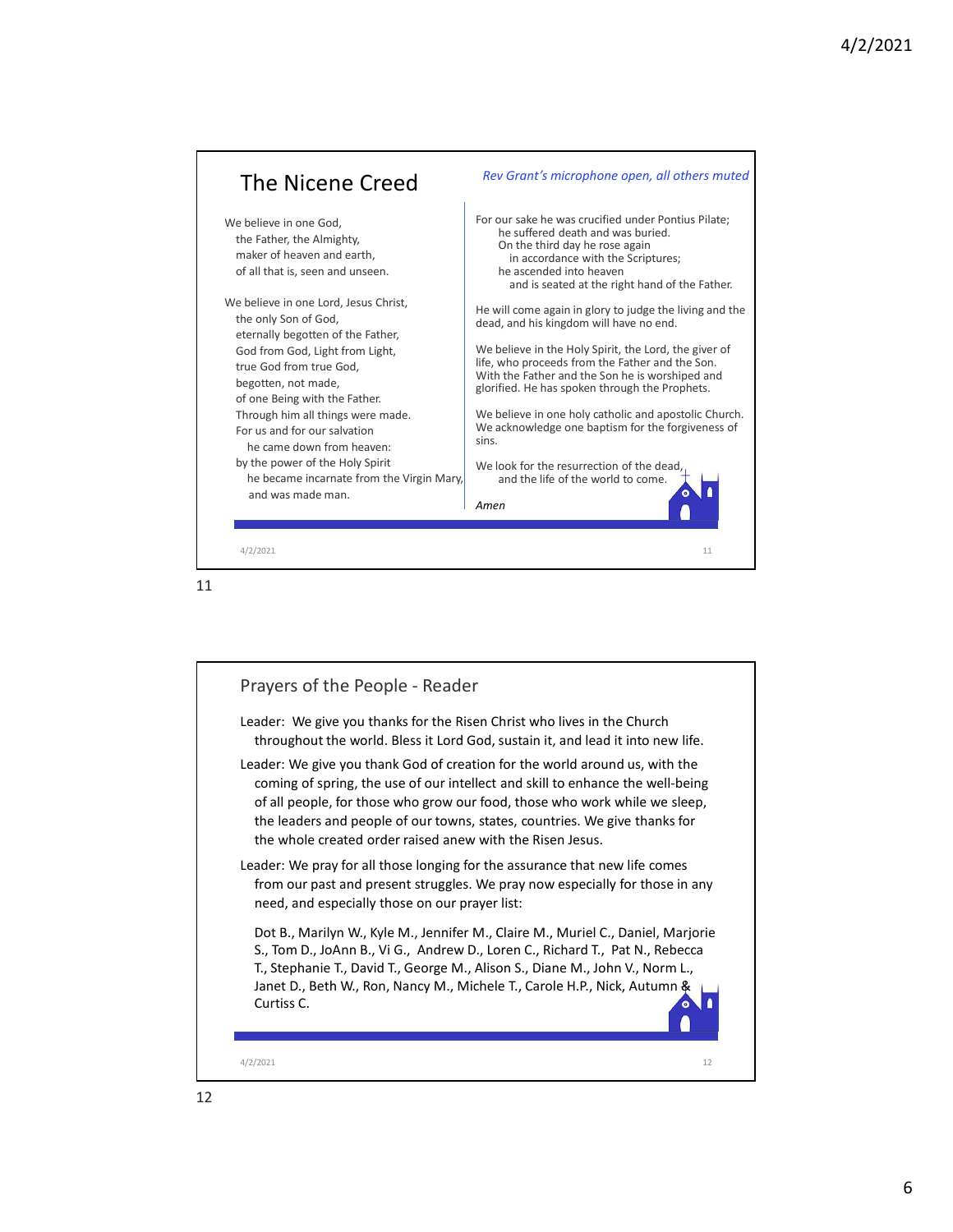



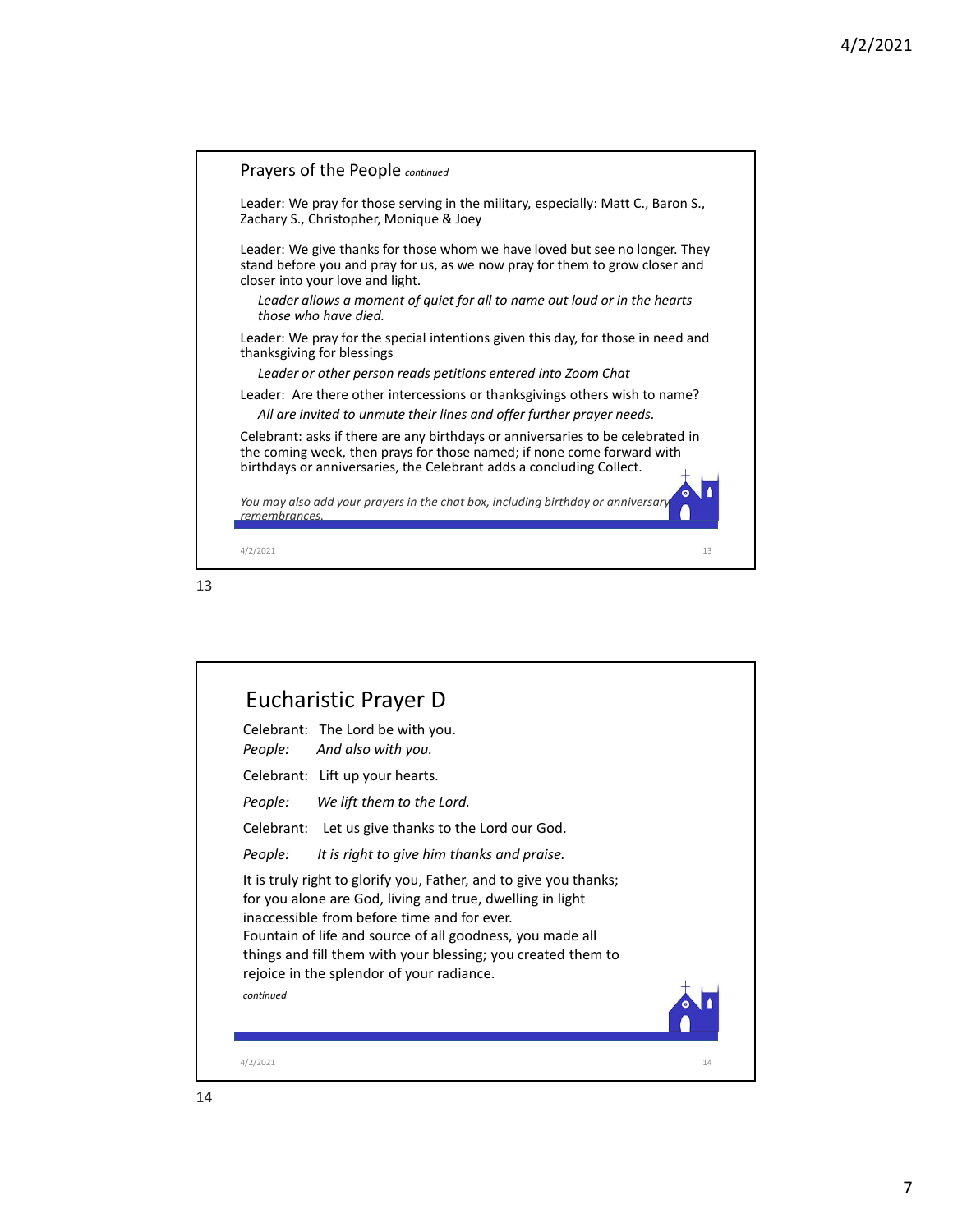

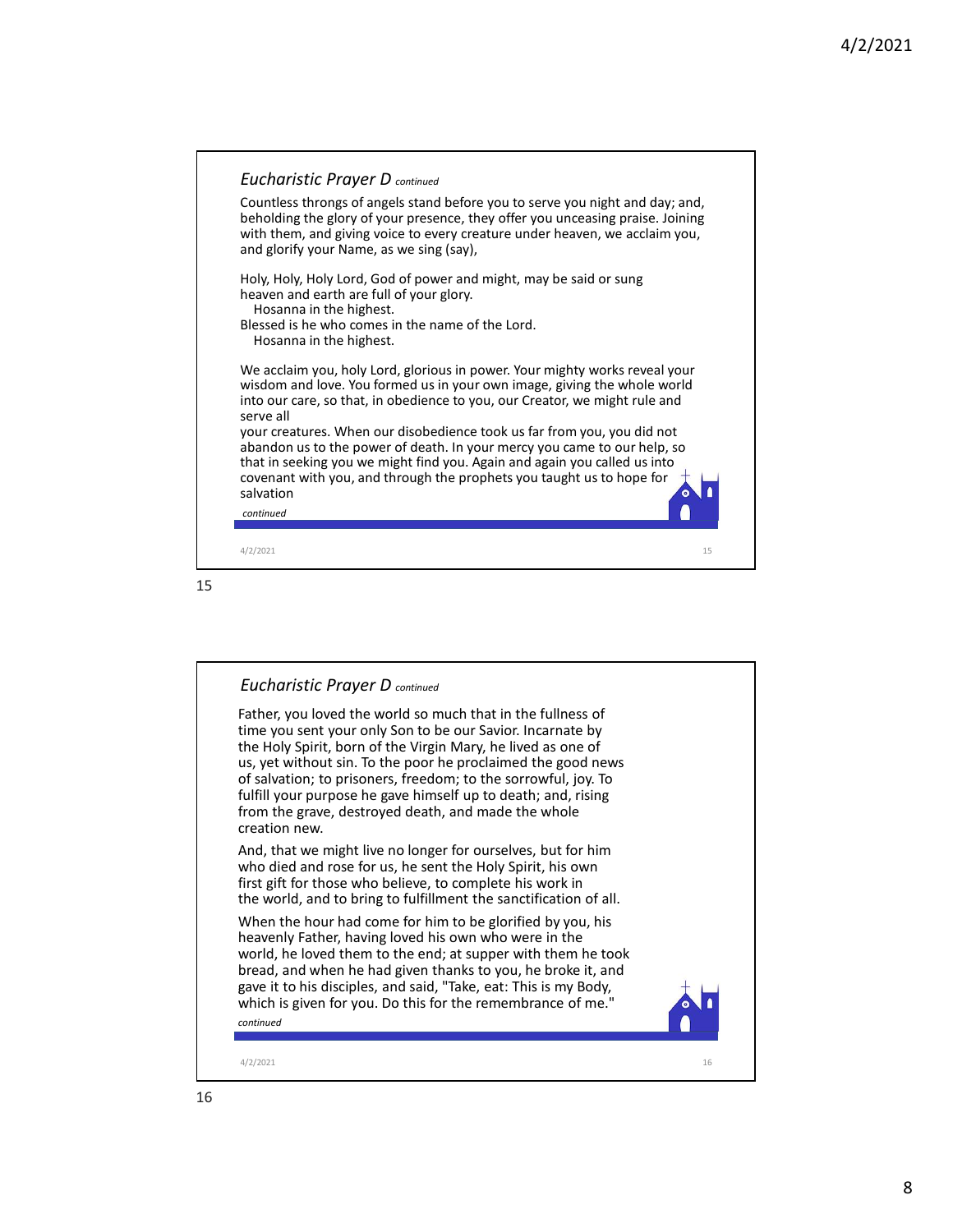



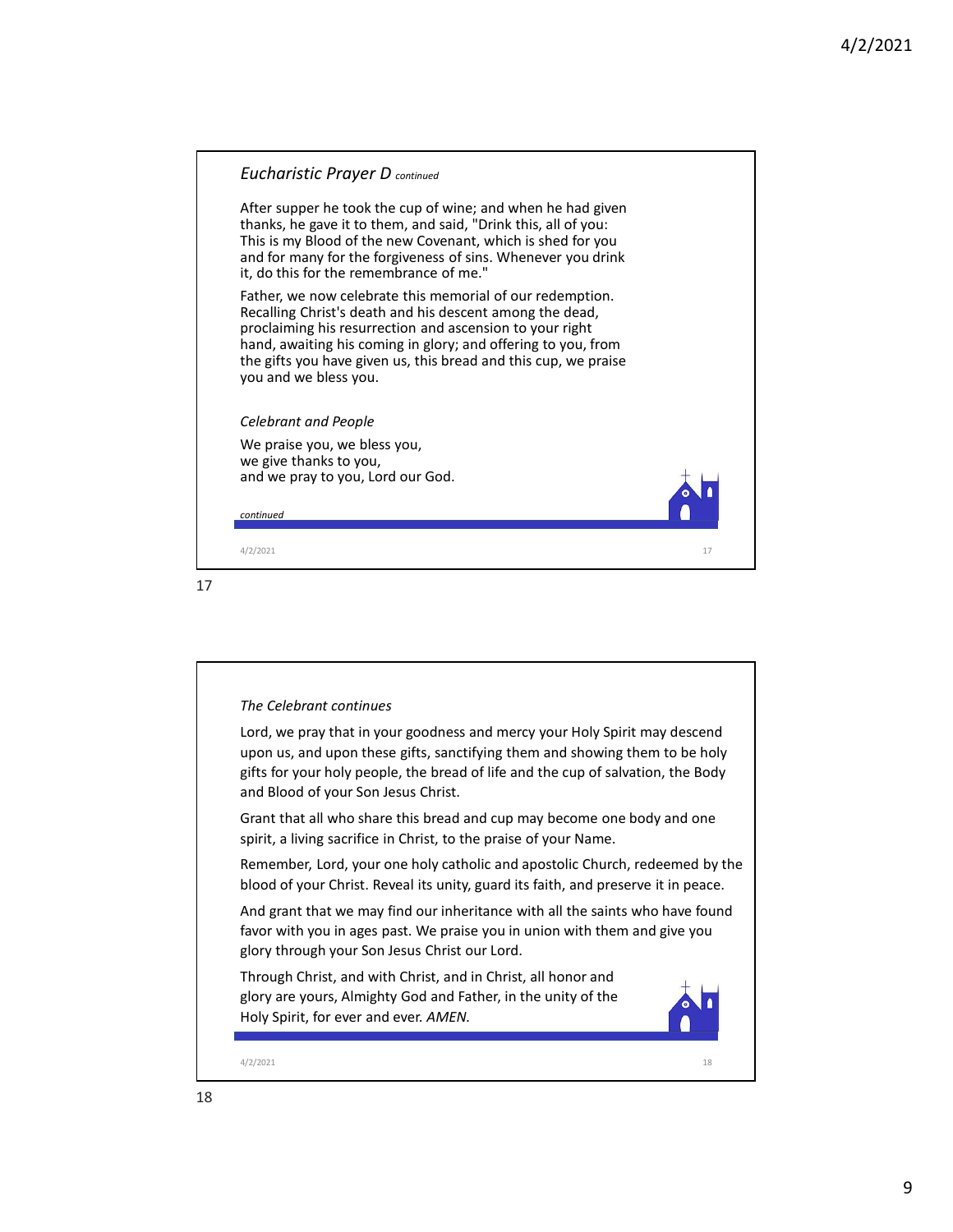

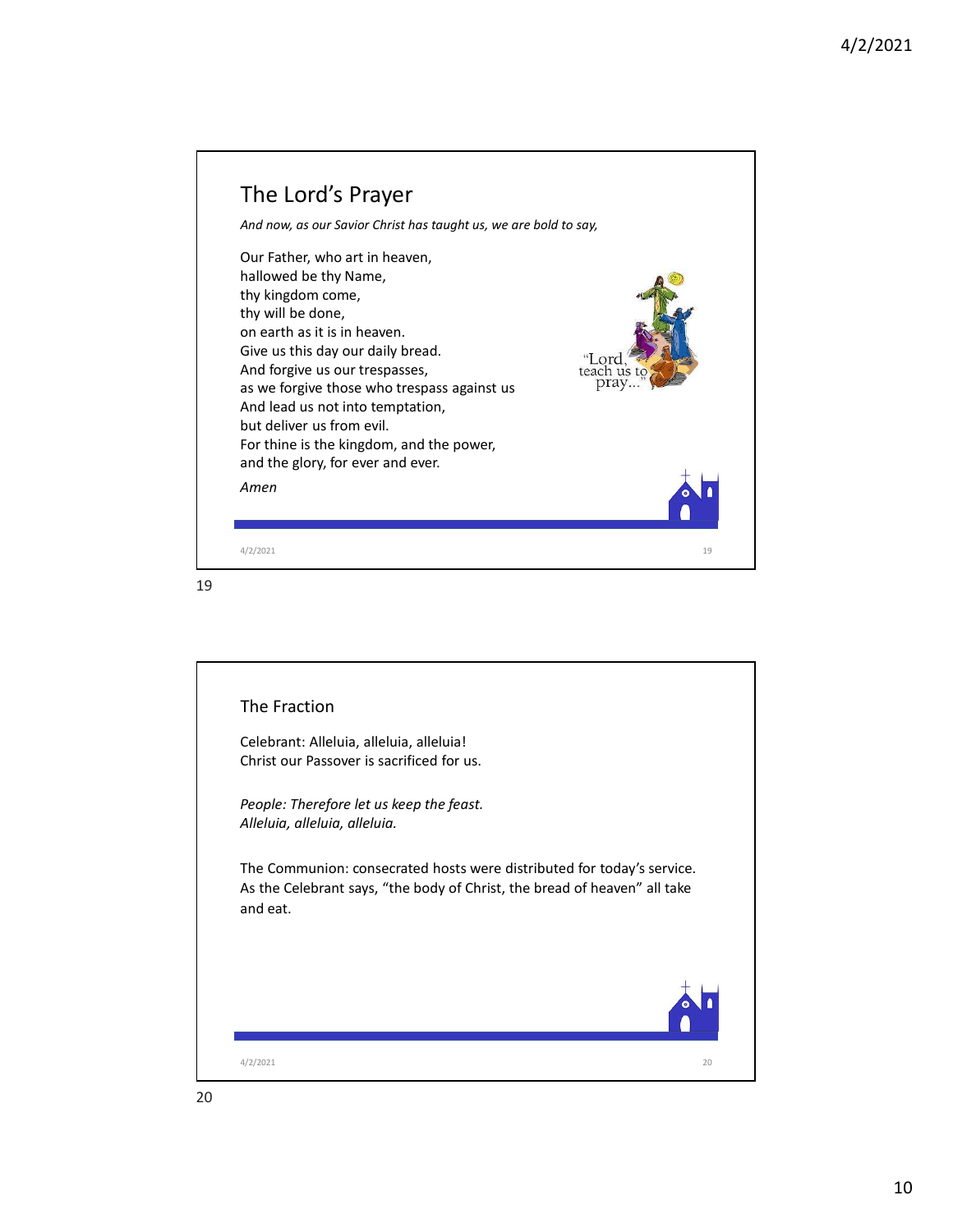